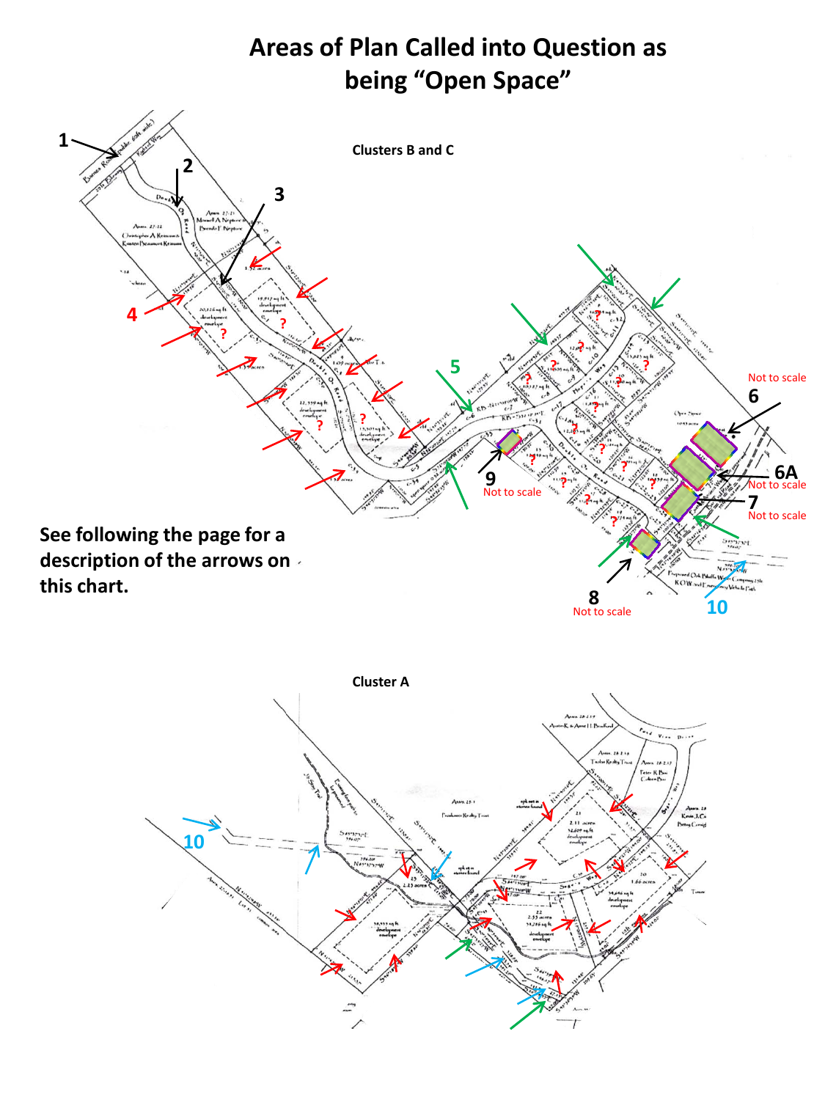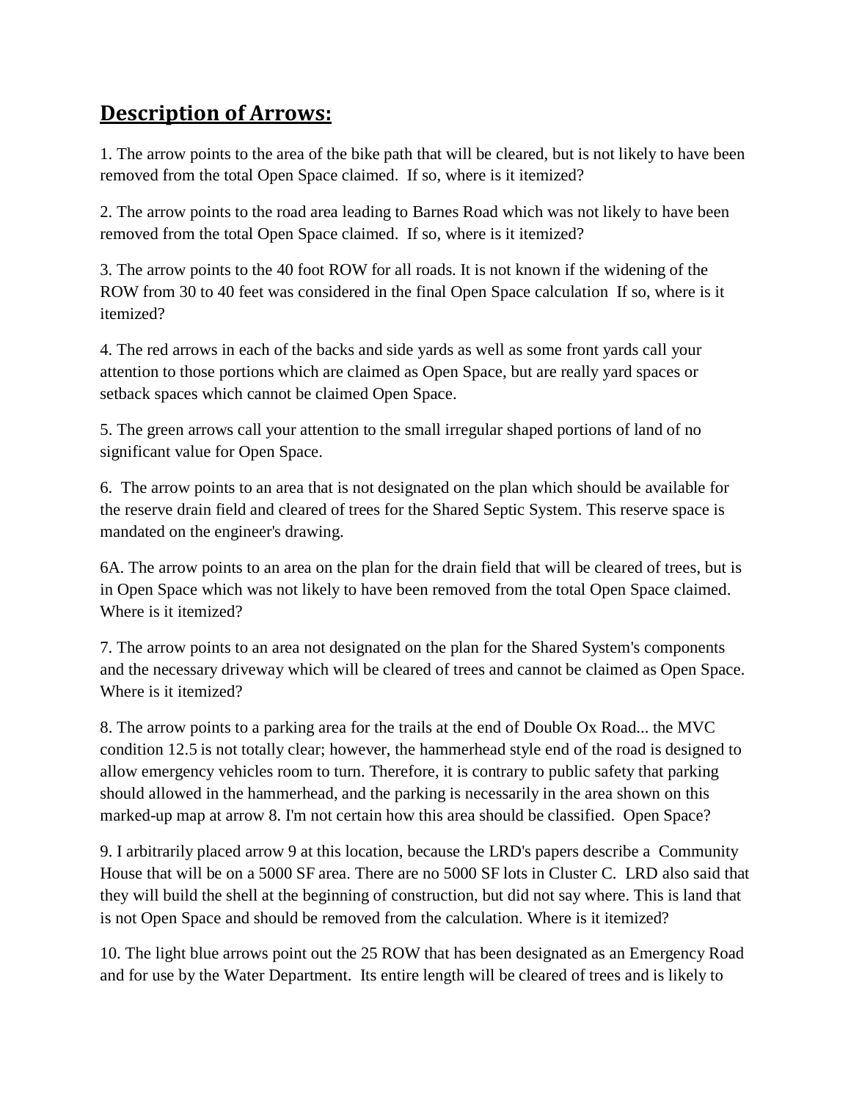## **Description of Arrows:**

1. The arrow points to the area of the bike path that will be cleared, but is not likely to have been removed from the total Open Space claimed. If so, where is it itemized?

2. The arrow points to the road area leading to Barnes Road which was not likely to have been removed from the total Open Space claimed. If so, where is it itemized?

3. The arrow points to the 40 foot ROW for all roads. It is not known if the widening of the ROW from 30 to 40 feet was considered in the final Open Space calculation If so, where is it itemized?

4. The red arrows in each of the backs and side yards as well as some front yards call your attention to those portions which are claimed as Open Space, but are really yard spaces or setback spaces which cannot be claimed Open Space.

5. The green arrows call your attention to the small irregular shaped portions of land of no significant value for Open Space.

6. The arrow points to an area that is not designated on the plan which should be available for the reserve drain field and cleared of trees for the Shared Septic System. This reserve space is mandated on the engineer's drawing.

6A. The arrow points to an area on the plan for the drain field that will be cleared of trees, but is in Open Space which was not likely to have been removed from the total Open Space claimed. Where is it itemized?

7. The arrow points to an area not designated on the plan for the Shared System's components and the necessary driveway which will be cleared of trees and cannot be claimed as Open Space. Where is it itemized?

8. The arrow points to a parking area for the trails at the end of Double Ox Road... the MVC condition 12.5 is not totally clear; however, the hammerhead style end of the road is designed to allow emergency vehicles room to turn. Therefore, it is contrary to public safety that parking should allowed in the hammerhead, and the parking is necessarily in the area shown on this marked-up map at arrow 8. I'm not certain how this area should be classified. Open Space?

9. I arbitrarily placed arrow 9 at this location, because the LRD's papers describe a Community House that will be on a 5000 SF area. There are no 5000 SF lots in Cluster C. LRD also said that they will build the shell at the beginning of construction, but did not say where. This is land that is not Open Space and should be removed from the calculation. Where is it itemized?

10. The light blue arrows point out the 25 ROW that has been designated as an Emergency Road and for use by the Water Department. Its entire length will be cleared of trees and is likely to